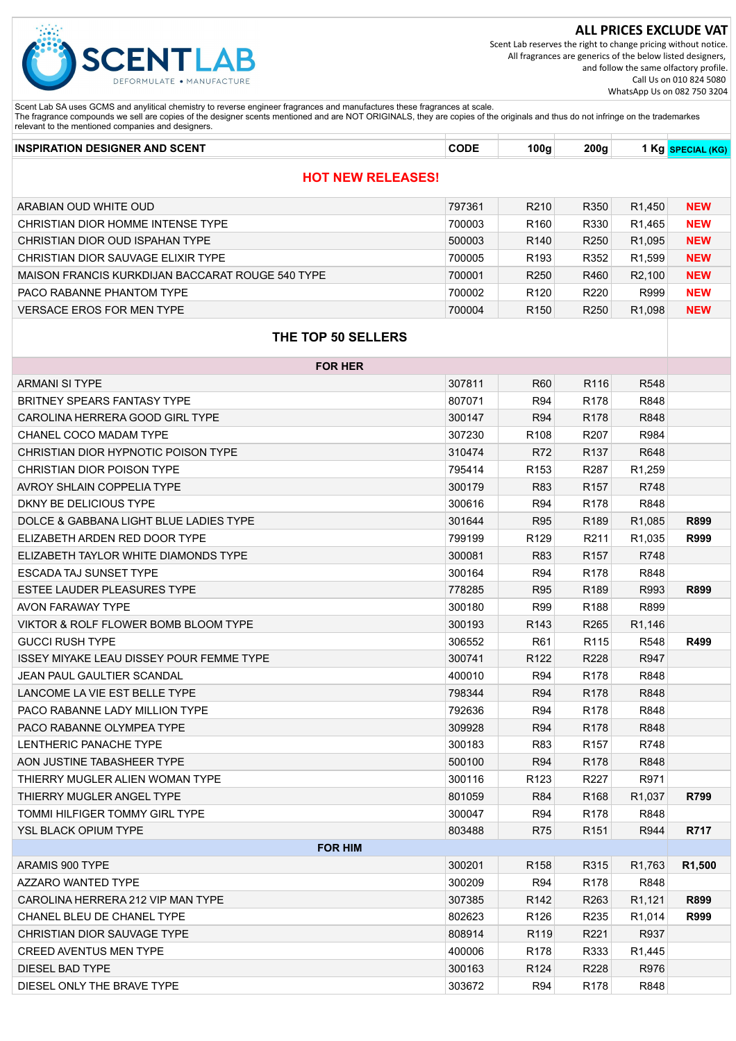

Scent Lab reserves the right to change pricing without notice. All fragrances are generics of the below listed designers, and follow the same olfactory profile. Call Us on 010 824 5080 WhatsApp Us on 082 750 3204

| <b>INSPIRATION DESIGNER AND SCENT</b> | <b>CODE</b> | 100 <sub>a</sub> | 200q | Kg SPECIAL (KG) |
|---------------------------------------|-------------|------------------|------|-----------------|
| <b>NEW RELEASES!</b>                  |             |                  |      |                 |

| ARABIAN OUD WHITE OUD                            | 797361 | R210             | R350              | R <sub>1</sub> ,450 | <b>NEW</b>          |  |  |
|--------------------------------------------------|--------|------------------|-------------------|---------------------|---------------------|--|--|
| CHRISTIAN DIOR HOMME INTENSE TYPE                | 700003 | R <sub>160</sub> | R330              | R <sub>1</sub> ,465 | <b>NEW</b>          |  |  |
| CHRISTIAN DIOR OUD ISPAHAN TYPE                  | 500003 | R <sub>140</sub> | R <sub>250</sub>  | R <sub>1</sub> ,095 | <b>NEW</b>          |  |  |
| CHRISTIAN DIOR SAUVAGE ELIXIR TYPE               | 700005 | R <sub>193</sub> | R352              | R <sub>1</sub> ,599 | <b>NEW</b>          |  |  |
| MAISON FRANCIS KURKDIJAN BACCARAT ROUGE 540 TYPE | 700001 | R <sub>250</sub> | R460              | R <sub>2</sub> ,100 | <b>NEW</b>          |  |  |
| PACO RABANNE PHANTOM TYPE                        | 700002 | R <sub>120</sub> | R220              | R999                | <b>NEW</b>          |  |  |
| <b>VERSACE EROS FOR MEN TYPE</b>                 | 700004 | R <sub>150</sub> | R <sub>250</sub>  | R <sub>1</sub> ,098 | <b>NEW</b>          |  |  |
| THE TOP 50 SELLERS                               |        |                  |                   |                     |                     |  |  |
| <b>FOR HER</b>                                   |        |                  |                   |                     |                     |  |  |
| <b>ARMANI SI TYPE</b>                            | 307811 | <b>R60</b>       | R116              | R548                |                     |  |  |
| <b>BRITNEY SPEARS FANTASY TYPE</b>               | 807071 | R94              | R <sub>178</sub>  | R848                |                     |  |  |
| CAROLINA HERRERA GOOD GIRL TYPE                  | 300147 | <b>R94</b>       | R <sub>178</sub>  | R848                |                     |  |  |
| CHANEL COCO MADAM TYPE                           | 307230 | R108             | R <sub>20</sub> 7 | R984                |                     |  |  |
| CHRISTIAN DIOR HYPNOTIC POISON TYPE              | 310474 | R72              | R <sub>137</sub>  | R648                |                     |  |  |
| CHRISTIAN DIOR POISON TYPE                       | 795414 | R <sub>153</sub> | R <sub>287</sub>  | R <sub>1</sub> ,259 |                     |  |  |
| AVROY SHLAIN COPPELIA TYPE                       | 300179 | <b>R83</b>       | R <sub>157</sub>  | R748                |                     |  |  |
| DKNY BE DELICIOUS TYPE                           | 300616 | <b>R94</b>       | R <sub>178</sub>  | R848                |                     |  |  |
| DOLCE & GABBANA LIGHT BLUE LADIES TYPE           | 301644 | <b>R95</b>       | R <sub>189</sub>  | R1,085              | R899                |  |  |
| ELIZABETH ARDEN RED DOOR TYPE                    | 799199 | R129             | R211              | R <sub>1</sub> ,035 | <b>R999</b>         |  |  |
| ELIZABETH TAYLOR WHITE DIAMONDS TYPE             | 300081 | <b>R83</b>       | R <sub>157</sub>  | R748                |                     |  |  |
| ESCADA TAJ SUNSET TYPE                           | 300164 | <b>R94</b>       | R <sub>178</sub>  | R848                |                     |  |  |
| ESTEE LAUDER PLEASURES TYPE                      | 778285 | <b>R95</b>       | R <sub>189</sub>  | R993                | R899                |  |  |
| AVON FARAWAY TYPE                                | 300180 | <b>R99</b>       | R <sub>188</sub>  | R899                |                     |  |  |
| VIKTOR & ROLF FLOWER BOMB BLOOM TYPE             | 300193 | R <sub>143</sub> | R <sub>265</sub>  | R1,146              |                     |  |  |
| <b>GUCCI RUSH TYPE</b>                           | 306552 | R <sub>61</sub>  | R115              | R548                | R499                |  |  |
| ISSEY MIYAKE LEAU DISSEY POUR FEMME TYPE         | 300741 | R <sub>122</sub> | R228              | R947                |                     |  |  |
| JEAN PAUL GAULTIER SCANDAL                       | 400010 | <b>R94</b>       | R <sub>178</sub>  | R848                |                     |  |  |
| LANCOME LA VIE EST BELLE TYPE                    | 798344 | <b>R94</b>       | R <sub>178</sub>  | R848                |                     |  |  |
| PACO RABANNE LADY MILLION TYPE                   | 792636 | R94              | R <sub>178</sub>  | R848                |                     |  |  |
| PACO RABANNE OLYMPEA TYPE                        | 309928 | R94              | R <sub>178</sub>  | R848                |                     |  |  |
| <b>LENTHERIC PANACHE TYPE</b>                    | 300183 | R83              | R <sub>157</sub>  | R748                |                     |  |  |
| AON JUSTINE TABASHEER TYPE                       | 500100 | R94              | R178              | R848                |                     |  |  |
| THIERRY MUGLER ALIEN WOMAN TYPE                  | 300116 | R <sub>123</sub> | R <sub>227</sub>  | R971                |                     |  |  |
| THIERRY MUGLER ANGEL TYPE                        | 801059 | R84              | R <sub>168</sub>  | R1,037              | R799                |  |  |
| TOMMI HILFIGER TOMMY GIRL TYPE                   | 300047 | R94              | R178              | R848                |                     |  |  |
| YSL BLACK OPIUM TYPE                             | 803488 | <b>R75</b>       | R <sub>151</sub>  | R944                | R717                |  |  |
| <b>FOR HIM</b>                                   |        |                  |                   |                     |                     |  |  |
| ARAMIS 900 TYPE                                  | 300201 | R <sub>158</sub> | R315              | R <sub>1</sub> ,763 | R <sub>1</sub> ,500 |  |  |
| AZZARO WANTED TYPE                               | 300209 | R94              | R <sub>178</sub>  | R848                |                     |  |  |
| CAROLINA HERRERA 212 VIP MAN TYPE                | 307385 | R142             | R <sub>263</sub>  | R <sub>1</sub> ,121 | R899                |  |  |
| CHANEL BLEU DE CHANEL TYPE                       | 802623 | R126             | R <sub>235</sub>  | R <sub>1</sub> ,014 | <b>R999</b>         |  |  |
| CHRISTIAN DIOR SAUVAGE TYPE                      | 808914 | R119             | R221              | R937                |                     |  |  |
| <b>CREED AVENTUS MEN TYPE</b>                    | 400006 | R178             | R333              | R <sub>1</sub> ,445 |                     |  |  |
| DIESEL BAD TYPE                                  | 300163 | R124             | R228              | R976                |                     |  |  |
| DIESEL ONLY THE BRAVE TYPE                       | 303672 | R94              | R <sub>178</sub>  | R848                |                     |  |  |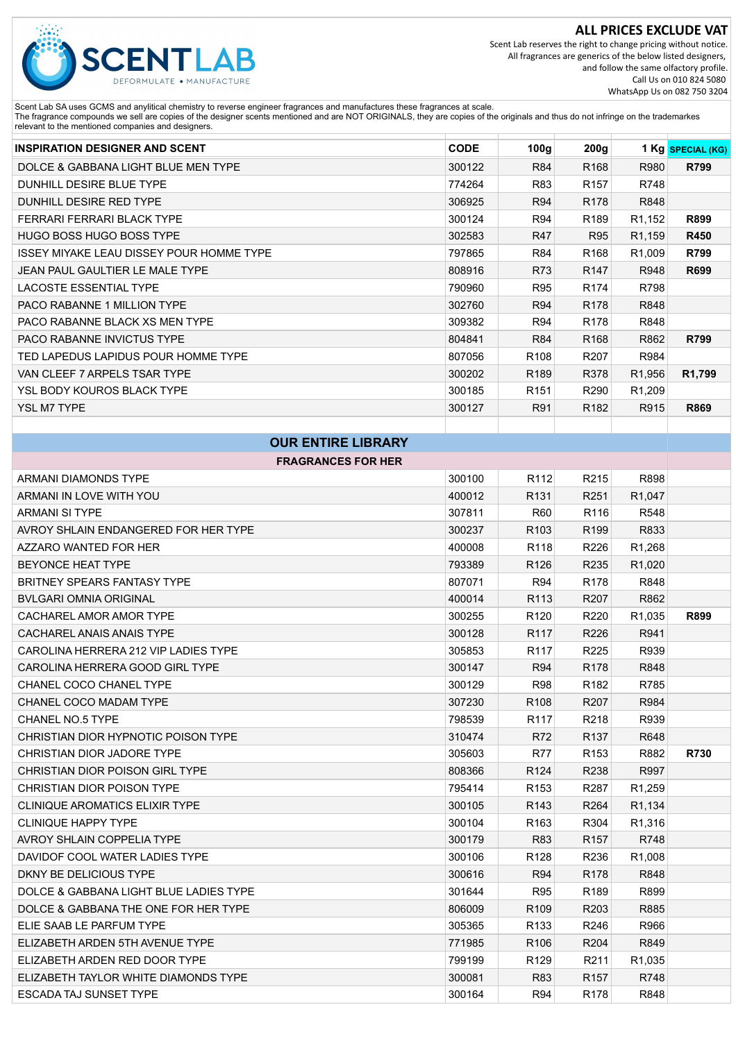

Scent Lab reserves the right to change pricing without notice. All fragrances are generics of the below listed designers, and follow the same olfactory profile. Call Us on 010 824 5080 WhatsApp Us on 082 750 3204

| <b>INSPIRATION DESIGNER AND SCENT</b>    | <b>CODE</b> | 100 <sub>g</sub> | 200 <sub>g</sub> |                     | 1 Kg SPECIAL (KG)   |
|------------------------------------------|-------------|------------------|------------------|---------------------|---------------------|
| DOLCE & GABBANA LIGHT BLUE MEN TYPE      | 300122      | <b>R84</b>       | R <sub>168</sub> | R980                | R799                |
| DUNHILL DESIRE BLUE TYPE                 | 774264      | R83              | R <sub>157</sub> | R748                |                     |
| DUNHILL DESIRE RED TYPE                  | 306925      | R94              | R <sub>178</sub> | R848                |                     |
| <b>FERRARI FERRARI BLACK TYPE</b>        | 300124      | R94              | R <sub>189</sub> | R <sub>1</sub> ,152 | R899                |
| <b>HUGO BOSS HUGO BOSS TYPE</b>          | 302583      | R47              | R95              | R <sub>1</sub> ,159 | <b>R450</b>         |
| ISSEY MIYAKE LEAU DISSEY POUR HOMME TYPE | 797865      | R84              | R <sub>168</sub> | R <sub>1</sub> ,009 | R799                |
| JEAN PAUL GAULTIER LE MALE TYPE          | 808916      | R73              | R <sub>147</sub> | R948                | R699                |
| <b>LACOSTE ESSENTIAL TYPE</b>            | 790960      | R95              | R <sub>174</sub> | R798                |                     |
| PACO RABANNE 1 MILLION TYPE              | 302760      | R94              | R <sub>178</sub> | R848                |                     |
| PACO RABANNE BLACK XS MEN TYPE           | 309382      | R94              | R <sub>178</sub> | R848                |                     |
| <b>PACO RABANNE INVICTUS TYPE</b>        | 804841      | R84              | R <sub>168</sub> | R862                | R799                |
| TED LAPEDUS LAPIDUS POUR HOMME TYPE      | 807056      | R <sub>108</sub> | R <sub>207</sub> | R984                |                     |
| VAN CLEEF 7 ARPELS TSAR TYPE             | 300202      | R <sub>189</sub> | R378             | R <sub>1,956</sub>  | R <sub>1</sub> ,799 |
| YSL BODY KOUROS BLACK TYPE               | 300185      | R <sub>151</sub> | R <sub>290</sub> | R <sub>1</sub> ,209 |                     |
| <b>YSL M7 TYPE</b>                       | 300127      | R91              | R <sub>182</sub> | R915                | R869                |
|                                          |             |                  |                  |                     |                     |

| <b>OUR ENTIRE LIBRARY</b>              |        |                  |                   |                     |             |  |
|----------------------------------------|--------|------------------|-------------------|---------------------|-------------|--|
| <b>FRAGRANCES FOR HER</b>              |        |                  |                   |                     |             |  |
| ARMANI DIAMONDS TYPE                   | 300100 | R <sub>112</sub> | R215              | R898                |             |  |
| ARMANI IN LOVE WITH YOU                | 400012 | R <sub>131</sub> | R251              | R1,047              |             |  |
| ARMANI SI TYPE                         | 307811 | R60              | R116              | R548                |             |  |
| AVROY SHLAIN ENDANGERED FOR HER TYPE   | 300237 | R <sub>103</sub> | R <sub>199</sub>  | R833                |             |  |
| AZZARO WANTED FOR HER                  | 400008 | R <sub>118</sub> | R226              | R1,268              |             |  |
| BEYONCE HEAT TYPE                      | 793389 | R <sub>126</sub> | R235              | R <sub>1</sub> ,020 |             |  |
| <b>BRITNEY SPEARS FANTASY TYPE</b>     | 807071 | <b>R94</b>       | R178              | R848                |             |  |
| <b>BVLGARI OMNIA ORIGINAL</b>          | 400014 | R <sub>113</sub> | R207              | R862                |             |  |
| CACHAREL AMOR AMOR TYPE                | 300255 | R <sub>120</sub> | R220              | R1,035              | R899        |  |
| CACHAREL ANAIS ANAIS TYPE              | 300128 | R <sub>117</sub> | R <sub>226</sub>  | R941                |             |  |
| CAROLINA HERRERA 212 VIP LADIES TYPE   | 305853 | R <sub>117</sub> | R225              | R939                |             |  |
| CAROLINA HERRERA GOOD GIRL TYPE        | 300147 | R94              | R <sub>178</sub>  | R848                |             |  |
| CHANEL COCO CHANEL TYPE                | 300129 | <b>R98</b>       | R182              | R785                |             |  |
| CHANEL COCO MADAM TYPE                 | 307230 | R <sub>108</sub> | R207              | R984                |             |  |
| CHANEL NO.5 TYPE                       | 798539 | R <sub>117</sub> | R <sub>2</sub> 18 | R939                |             |  |
| CHRISTIAN DIOR HYPNOTIC POISON TYPE    | 310474 | R72              | R <sub>137</sub>  | R648                |             |  |
| CHRISTIAN DIOR JADORE TYPE             | 305603 | <b>R77</b>       | R <sub>153</sub>  | R882                | <b>R730</b> |  |
| CHRISTIAN DIOR POISON GIRL TYPE        | 808366 | R <sub>124</sub> | R238              | R997                |             |  |
| CHRISTIAN DIOR POISON TYPE             | 795414 | R <sub>153</sub> | R287              | R1,259              |             |  |
| <b>CLINIQUE AROMATICS ELIXIR TYPE</b>  | 300105 | R <sub>143</sub> | R <sub>264</sub>  | R1,134              |             |  |
| <b>CLINIQUE HAPPY TYPE</b>             | 300104 | R <sub>163</sub> | R304              | R <sub>1</sub> ,316 |             |  |
| AVROY SHLAIN COPPELIA TYPE             | 300179 | <b>R83</b>       | R <sub>157</sub>  | R748                |             |  |
| DAVIDOF COOL WATER LADIES TYPE         | 300106 | R128             | R236              | R <sub>1</sub> ,008 |             |  |
| DKNY BE DELICIOUS TYPE                 | 300616 | R94              | R <sub>178</sub>  | R848                |             |  |
| DOLCE & GABBANA LIGHT BLUE LADIES TYPE | 301644 | R95              | R <sub>189</sub>  | R899                |             |  |
| DOLCE & GABBANA THE ONE FOR HER TYPE   | 806009 | R <sub>109</sub> | R203              | R885                |             |  |
| ELIE SAAB LE PARFUM TYPE               | 305365 | R <sub>133</sub> | R <sub>246</sub>  | R966                |             |  |
| ELIZABETH ARDEN 5TH AVENUE TYPE        | 771985 | R <sub>106</sub> | R204              | R849                |             |  |
| ELIZABETH ARDEN RED DOOR TYPE          | 799199 | R <sub>129</sub> | R <sub>211</sub>  | R <sub>1</sub> ,035 |             |  |
| ELIZABETH TAYLOR WHITE DIAMONDS TYPE   | 300081 | R83              | R <sub>157</sub>  | R748                |             |  |
| ESCADA TAJ SUNSET TYPE                 | 300164 | R94              | R <sub>178</sub>  | R848                |             |  |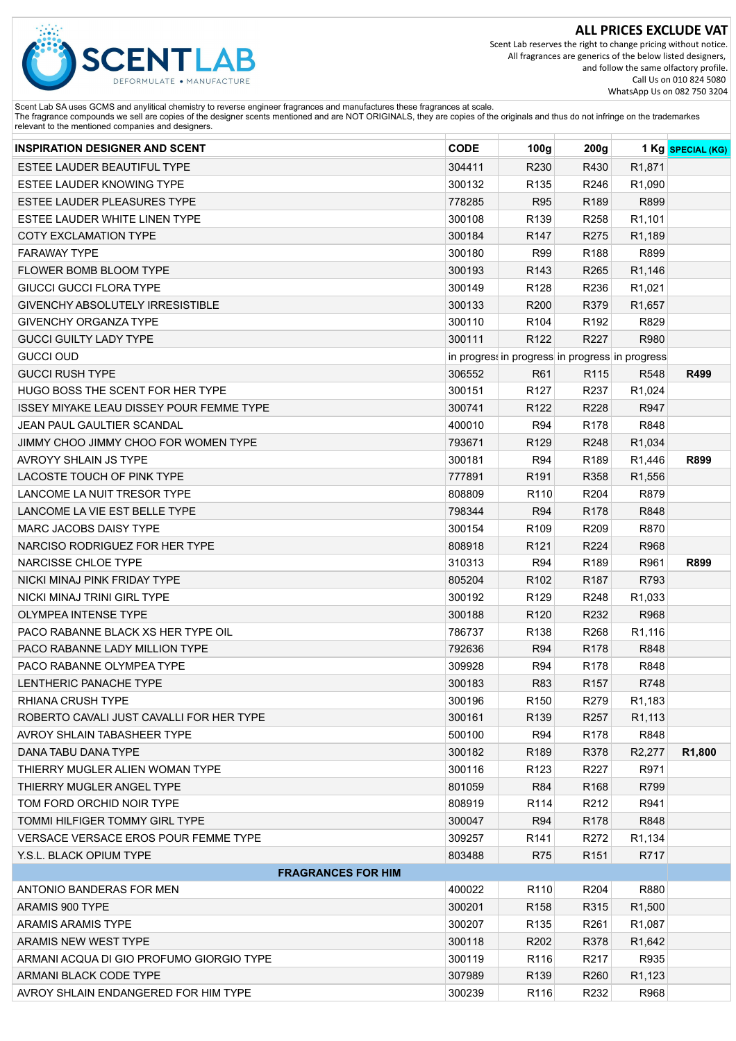

Scent Lab reserves the right to change pricing without notice. All fragrances are generics of the below listed designers, and follow the same olfactory profile. Call Us on 010 824 5080 WhatsApp Us on 082 750 3204

| <b>INSPIRATION DESIGNER AND SCENT</b>           | <b>CODE</b> | 100g             | 200g                                            |                     | 1 Kg SPECIAL (KG) |
|-------------------------------------------------|-------------|------------------|-------------------------------------------------|---------------------|-------------------|
| ESTEE LAUDER BEAUTIFUL TYPE                     | 304411      | R230             | R430                                            | R <sub>1</sub> ,871 |                   |
| ESTEE LAUDER KNOWING TYPE                       | 300132      | R135             | R246                                            | R <sub>1</sub> ,090 |                   |
| ESTEE LAUDER PLEASURES TYPE                     | 778285      | <b>R95</b>       | R189                                            | R899                |                   |
| ESTEE LAUDER WHITE LINEN TYPE                   | 300108      | R139             | R258                                            | R1,101              |                   |
| <b>COTY EXCLAMATION TYPE</b>                    | 300184      | R <sub>147</sub> | R275                                            | R1,189              |                   |
| <b>FARAWAY TYPE</b>                             | 300180      | <b>R99</b>       | R188                                            | R899                |                   |
| FLOWER BOMB BLOOM TYPE                          | 300193      | R143             | R265                                            | R1,146              |                   |
| <b>GIUCCI GUCCI FLORA TYPE</b>                  | 300149      | R128             | R236                                            | R1,021              |                   |
| GIVENCHY ABSOLUTELY IRRESISTIBLE                | 300133      | R200             | R379                                            | R1,657              |                   |
| <b>GIVENCHY ORGANZA TYPE</b>                    | 300110      | R <sub>104</sub> | R192                                            | R829                |                   |
| <b>GUCCI GUILTY LADY TYPE</b>                   | 300111      | R122             | R227                                            | R980                |                   |
| <b>GUCCI OUD</b>                                |             |                  | in progress in progress in progress in progress |                     |                   |
| <b>GUCCI RUSH TYPE</b>                          | 306552      | R61              | R115                                            | R548                | R499              |
| HUGO BOSS THE SCENT FOR HER TYPE                | 300151      | R <sub>127</sub> | R237                                            | R1,024              |                   |
| <b>ISSEY MIYAKE LEAU DISSEY POUR FEMME TYPE</b> | 300741      | R122             | R228                                            | R947                |                   |
| JEAN PAUL GAULTIER SCANDAL                      | 400010      | <b>R94</b>       | R178                                            | R848                |                   |
| JIMMY CHOO JIMMY CHOO FOR WOMEN TYPE            | 793671      | R <sub>129</sub> | R248                                            | R1,034              |                   |
| <b>AVROYY SHLAIN JS TYPE</b>                    | 300181      | <b>R94</b>       | R <sub>189</sub>                                | R1,446              | R899              |
| <b>LACOSTE TOUCH OF PINK TYPE</b>               | 777891      | R191             | R358                                            | R <sub>1</sub> ,556 |                   |
| LANCOME LA NUIT TRESOR TYPE                     | 808809      | R110             | R204                                            | R879                |                   |
| LANCOME LA VIE EST BELLE TYPE                   | 798344      | <b>R94</b>       | R <sub>178</sub>                                | R848                |                   |
| MARC JACOBS DAISY TYPE                          | 300154      | R109             | R209                                            | R870                |                   |
| NARCISO RODRIGUEZ FOR HER TYPE                  | 808918      | R121             | R224                                            | R968                |                   |
| NARCISSE CHLOE TYPE                             | 310313      | <b>R94</b>       | R189                                            | R961                | R899              |
| NICKI MINAJ PINK FRIDAY TYPE                    | 805204      | R102             | R <sub>187</sub>                                | R793                |                   |
| NICKI MINAJ TRINI GIRL TYPE                     | 300192      | R <sub>129</sub> | R248                                            | R1,033              |                   |
| OLYMPEA INTENSE TYPE                            | 300188      | R120             | R232                                            | R968                |                   |
| PACO RABANNE BLACK XS HER TYPE OIL              | 786737      | R138             | R268                                            | R1,116              |                   |
| PACO RABANNE LADY MILLION TYPE                  | 792636      | <b>R94</b>       | R178                                            | R848                |                   |
| PACO RABANNE OLYMPEA TYPE                       | 309928      | R94              | R178                                            | R848                |                   |
| LENTHERIC PANACHE TYPE                          | 300183      | R83              | R <sub>157</sub>                                | R748                |                   |
| RHIANA CRUSH TYPE                               | 300196      | R <sub>150</sub> | R <sub>279</sub>                                | R <sub>1</sub> ,183 |                   |
| ROBERTO CAVALI JUST CAVALLI FOR HER TYPE        | 300161      | R139             | R <sub>257</sub>                                | R1,113              |                   |
| AVROY SHLAIN TABASHEER TYPE                     | 500100      | <b>R94</b>       | R <sub>178</sub>                                | R848                |                   |
| DANA TABU DANA TYPE                             | 300182      | R <sub>189</sub> | R378                                            | R <sub>2</sub> ,277 | R1,800            |
| THIERRY MUGLER ALIEN WOMAN TYPE                 | 300116      | R <sub>123</sub> | R227                                            | R971                |                   |
| THIERRY MUGLER ANGEL TYPE                       | 801059      | R84              | R <sub>168</sub>                                | R799                |                   |
| TOM FORD ORCHID NOIR TYPE                       | 808919      | R114             | R212                                            | R941                |                   |
| TOMMI HILFIGER TOMMY GIRL TYPE                  | 300047      | <b>R94</b>       | R178                                            | R848                |                   |
| VERSACE VERSACE EROS POUR FEMME TYPE            | 309257      | R <sub>141</sub> | R272                                            | R <sub>1</sub> ,134 |                   |
| Y.S.L. BLACK OPIUM TYPE                         | 803488      | <b>R75</b>       | R <sub>151</sub>                                | R717                |                   |
| <b>FRAGRANCES FOR HIM</b>                       |             |                  |                                                 |                     |                   |
| ANTONIO BANDERAS FOR MEN                        | 400022      | R <sub>110</sub> | R204                                            | R880                |                   |
| ARAMIS 900 TYPE                                 | 300201      | R <sub>158</sub> | R315                                            | R <sub>1</sub> ,500 |                   |
| ARAMIS ARAMIS TYPE                              | 300207      | R <sub>135</sub> | R261                                            | R <sub>1</sub> ,087 |                   |
| ARAMIS NEW WEST TYPE                            | 300118      | R <sub>202</sub> | R378                                            | R <sub>1</sub> ,642 |                   |
| ARMANI ACQUA DI GIO PROFUMO GIORGIO TYPE        | 300119      | R116             | R217                                            | R935                |                   |
| ARMANI BLACK CODE TYPE                          | 307989      | R139             | R260                                            | R <sub>1</sub> ,123 |                   |
| AVROY SHLAIN ENDANGERED FOR HIM TYPE            | 300239      | R116             | R <sub>2</sub> 32                               | R968                |                   |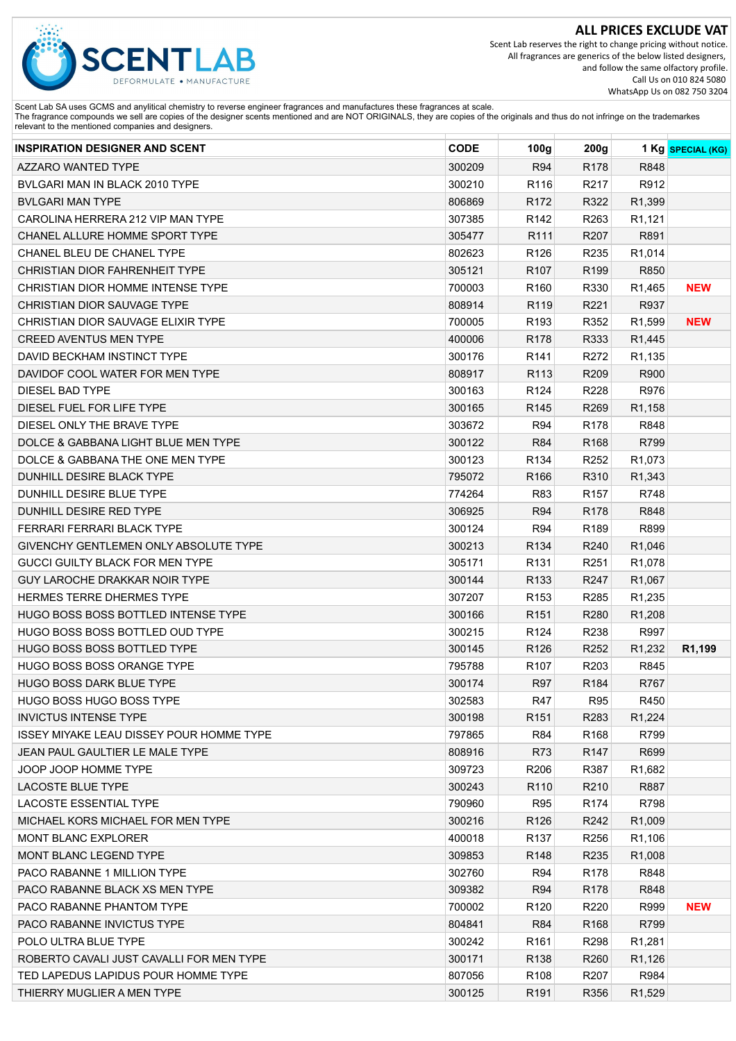

Scent Lab reserves the right to change pricing without notice. All fragrances are generics of the below listed designers, and follow the same olfactory profile. Call Us on 010 824 5080 WhatsApp Us on 082 750 3204

| <b>INSPIRATION DESIGNER AND SCENT</b>           | <b>CODE</b> | 100 <sub>g</sub> | 200g             |                     | 1 Kg SPECIAL (KG)   |
|-------------------------------------------------|-------------|------------------|------------------|---------------------|---------------------|
| <b>AZZARO WANTED TYPE</b>                       | 300209      | <b>R94</b>       | R178             | R848                |                     |
| BVLGARI MAN IN BLACK 2010 TYPE                  | 300210      | R116             | R217             | R912                |                     |
| <b>BVLGARI MAN TYPE</b>                         | 806869      | R172             | R322             | R1,399              |                     |
| CAROLINA HERRERA 212 VIP MAN TYPE               | 307385      | R <sub>142</sub> | R263             | R1,121              |                     |
| CHANEL ALLURE HOMME SPORT TYPE                  | 305477      | R111             | R207             | R891                |                     |
| <b>CHANEL BLEU DE CHANEL TYPE</b>               | 802623      | R <sub>126</sub> | R235             | R1,014              |                     |
| CHRISTIAN DIOR FAHRENHEIT TYPE                  | 305121      | R <sub>107</sub> | R <sub>199</sub> | R850                |                     |
| CHRISTIAN DIOR HOMME INTENSE TYPE               | 700003      | R <sub>160</sub> | R330             | R1,465              | <b>NEW</b>          |
| CHRISTIAN DIOR SAUVAGE TYPE                     | 808914      | R <sub>119</sub> | R221             | R937                |                     |
| CHRISTIAN DIOR SAUVAGE ELIXIR TYPE              | 700005      | R <sub>193</sub> | R352             | R <sub>1</sub> ,599 | <b>NEW</b>          |
| <b>CREED AVENTUS MEN TYPE</b>                   | 400006      | R178             | R333             | R1,445              |                     |
| DAVID BECKHAM INSTINCT TYPE                     | 300176      | R <sub>141</sub> | R272             | R <sub>1</sub> ,135 |                     |
| DAVIDOF COOL WATER FOR MEN TYPE                 | 808917      | R <sub>113</sub> | R209             | R900                |                     |
| <b>DIESEL BAD TYPE</b>                          | 300163      | R <sub>124</sub> | R228             | R976                |                     |
| DIESEL FUEL FOR LIFE TYPE                       | 300165      | R <sub>145</sub> | R <sub>269</sub> | R1,158              |                     |
| DIESEL ONLY THE BRAVE TYPE                      | 303672      | <b>R94</b>       | R <sub>178</sub> | R848                |                     |
| DOLCE & GABBANA LIGHT BLUE MEN TYPE             | 300122      | <b>R84</b>       | R <sub>168</sub> | R799                |                     |
| DOLCE & GABBANA THE ONE MEN TYPE                | 300123      | R <sub>134</sub> | R <sub>252</sub> | R1,073              |                     |
| DUNHILL DESIRE BLACK TYPE                       | 795072      | R <sub>166</sub> | R310             | R1,343              |                     |
| <b>DUNHILL DESIRE BLUE TYPE</b>                 | 774264      | R83              | R <sub>157</sub> | R748                |                     |
| DUNHILL DESIRE RED TYPE                         | 306925      | <b>R94</b>       | R <sub>178</sub> | R848                |                     |
| FERRARI FERRARI BLACK TYPE                      | 300124      | <b>R94</b>       | R189             | R899                |                     |
| GIVENCHY GENTLEMEN ONLY ABSOLUTE TYPE           | 300213      | R134             | R240             | R1,046              |                     |
| GUCCI GUILTY BLACK FOR MEN TYPE                 | 305171      | R <sub>131</sub> | R <sub>251</sub> | R <sub>1</sub> ,078 |                     |
| GUY LAROCHE DRAKKAR NOIR TYPE                   | 300144      | R <sub>133</sub> | R247             | R1,067              |                     |
| HERMES TERRE DHERMES TYPE                       | 307207      | R <sub>153</sub> | R285             | R <sub>1</sub> ,235 |                     |
| HUGO BOSS BOSS BOTTLED INTENSE TYPE             | 300166      | R <sub>151</sub> | R280             | R <sub>1</sub> ,208 |                     |
| HUGO BOSS BOSS BOTTLED OUD TYPE                 | 300215      | R <sub>124</sub> | R238             | R997                |                     |
| <b>HUGO BOSS BOSS BOTTLED TYPE</b>              | 300145      | R <sub>126</sub> | R252             | R1,232              | R <sub>1</sub> ,199 |
| <b>HUGO BOSS BOSS ORANGE TYPE</b>               | 795788      | R <sub>107</sub> | R <sub>203</sub> | R845                |                     |
| <b>HUGO BOSS DARK BLUE TYPE</b>                 | 300174      | <b>R97</b>       | R <sub>184</sub> | R767                |                     |
| <b>HUGO BOSS HUGO BOSS TYPE</b>                 | 302583      | R47              | <b>R95</b>       | R450                |                     |
| <b>INVICTUS INTENSE TYPE</b>                    | 300198      | R <sub>151</sub> | R283             | R <sub>1</sub> ,224 |                     |
| <b>ISSEY MIYAKE LEAU DISSEY POUR HOMME TYPE</b> | 797865      | <b>R84</b>       | R <sub>168</sub> | R799                |                     |
| JEAN PAUL GAULTIER LE MALE TYPE                 | 808916      | R73              | R <sub>147</sub> | R699                |                     |
| JOOP JOOP HOMME TYPE                            | 309723      | R <sub>206</sub> | R387             | R <sub>1,682</sub>  |                     |
| <b>LACOSTE BLUE TYPE</b>                        | 300243      | R <sub>110</sub> | R210             | R887                |                     |
| <b>LACOSTE ESSENTIAL TYPE</b>                   | 790960      | R95              | R <sub>174</sub> | R798                |                     |
| MICHAEL KORS MICHAEL FOR MEN TYPE               | 300216      | R <sub>126</sub> | R242             | R <sub>1</sub> ,009 |                     |
| <b>MONT BLANC EXPLORER</b>                      | 400018      | R <sub>137</sub> | R256             | R <sub>1</sub> ,106 |                     |
| MONT BLANC LEGEND TYPE                          | 309853      | R <sub>148</sub> | R235             | R <sub>1</sub> ,008 |                     |
| PACO RABANNE 1 MILLION TYPE                     | 302760      | R94              | R <sub>178</sub> | R848                |                     |
| PACO RABANNE BLACK XS MEN TYPE                  | 309382      | <b>R94</b>       | R <sub>178</sub> | R848                |                     |
| PACO RABANNE PHANTOM TYPE                       | 700002      | R <sub>120</sub> | R220             | R999                | <b>NEW</b>          |
| PACO RABANNE INVICTUS TYPE                      | 804841      | <b>R84</b>       | R <sub>168</sub> | R799                |                     |
| POLO ULTRA BLUE TYPE                            | 300242      | R <sub>161</sub> | R298             | R <sub>1</sub> ,281 |                     |
| ROBERTO CAVALI JUST CAVALLI FOR MEN TYPE        | 300171      | R <sub>138</sub> | R260             | R <sub>1</sub> ,126 |                     |
| TED LAPEDUS LAPIDUS POUR HOMME TYPE             | 807056      | R <sub>108</sub> | R207             | R984                |                     |
| THIERRY MUGLIER A MEN TYPE                      | 300125      | R <sub>191</sub> | R356             | R <sub>1</sub> ,529 |                     |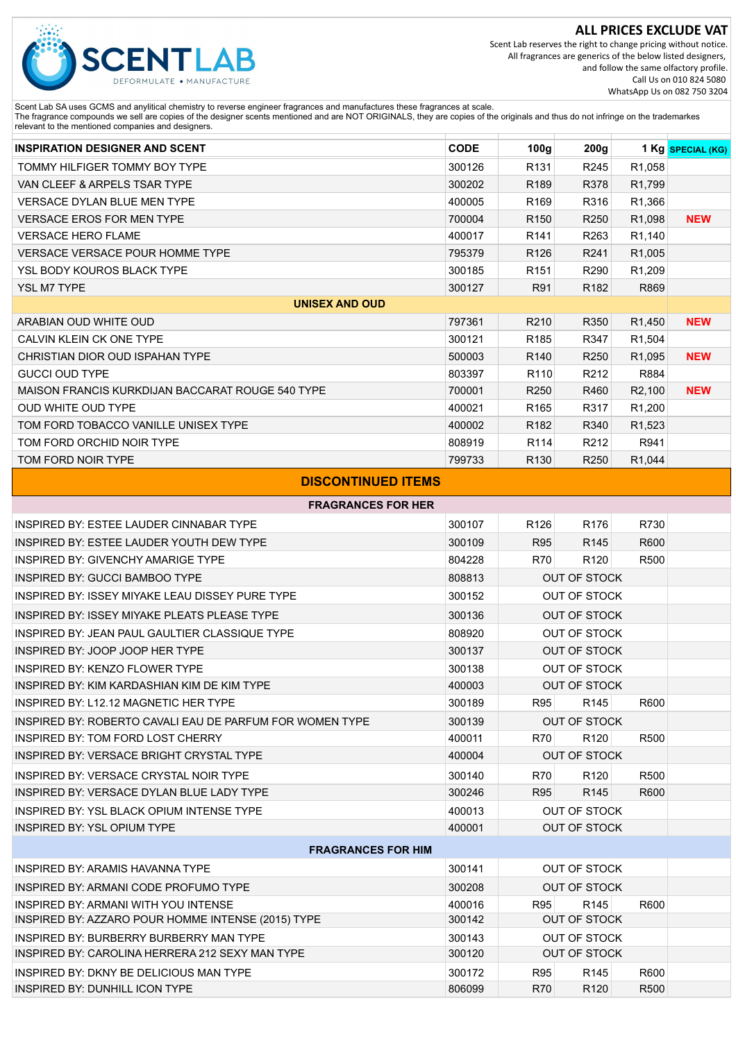

Scent Lab reserves the right to change pricing without notice. All fragrances are generics of the below listed designers, and follow the same olfactory profile. Call Us on 010 824 5080 WhatsApp Us on 082 750 3204

Scent Lab SA uses GCMS and anylitical chemistry to reverse engineer fragrances and manufactures these fragrances at scale.<br>The fragrance compounds we sell are copies of the designer scents mentioned and are NOT ORIGINALS,

| <b>INSPIRATION DESIGNER AND SCENT</b>            | <b>CODE</b> | 100g             | 200g             |                     | 1 Kg SPECIAL (KG) |
|--------------------------------------------------|-------------|------------------|------------------|---------------------|-------------------|
| TOMMY HILFIGER TOMMY BOY TYPE                    | 300126      | R <sub>131</sub> | R <sub>245</sub> | R <sub>1,058</sub>  |                   |
| VAN CLEEF & ARPELS TSAR TYPE                     | 300202      | R <sub>189</sub> | R378             | R <sub>1</sub> ,799 |                   |
| <b>VERSACE DYLAN BLUE MEN TYPE</b>               | 400005      | R <sub>169</sub> | R316             | R1,366              |                   |
| <b>VERSACE EROS FOR MEN TYPE</b>                 | 700004      | R <sub>150</sub> | R <sub>250</sub> | R <sub>1</sub> ,098 | <b>NEW</b>        |
| <b>VERSACE HERO FLAME</b>                        | 400017      | R <sub>141</sub> | R263             | R <sub>1</sub> ,140 |                   |
| <b>VERSACE VERSACE POUR HOMME TYPE</b>           | 795379      | R <sub>126</sub> | R241             | R <sub>1</sub> ,005 |                   |
| <b>YSL BODY KOUROS BLACK TYPE</b>                | 300185      | R <sub>151</sub> | R290             | R <sub>1</sub> ,209 |                   |
| <b>YSL M7 TYPE</b>                               | 300127      | R91              | R <sub>182</sub> | R869                |                   |
| <b>UNISEX AND OUD</b>                            |             |                  |                  |                     |                   |
| ARABIAN OUD WHITE OUD                            | 797361      | R210             | R350             | R <sub>1</sub> ,450 | <b>NEW</b>        |
| CALVIN KLEIN CK ONE TYPE                         | 300121      | R <sub>185</sub> | R347             | R <sub>1</sub> ,504 |                   |
| CHRISTIAN DIOR OUD ISPAHAN TYPE                  | 500003      | R <sub>140</sub> | R <sub>250</sub> | R <sub>1</sub> ,095 | <b>NEW</b>        |
| <b>GUCCI OUD TYPE</b>                            | 803397      | R <sub>110</sub> | R <sub>212</sub> | R884                |                   |
| MAISON FRANCIS KURKDIJAN BACCARAT ROUGE 540 TYPE | 700001      | R <sub>250</sub> | R460             | R <sub>2</sub> ,100 | <b>NEW</b>        |
| <b>OUD WHITE OUD TYPE</b>                        | 400021      | R <sub>165</sub> | R317             | R <sub>1</sub> ,200 |                   |
| TOM FORD TOBACCO VANILLE UNISEX TYPE             | 400002      | R <sub>182</sub> | R340             | R1,523              |                   |
| TOM FORD ORCHID NOIR TYPE                        | 808919      | R <sub>114</sub> | R212             | R941                |                   |
| TOM FORD NOIR TYPE                               | 799733      | R <sub>130</sub> | R <sub>250</sub> | R <sub>1</sub> ,044 |                   |
|                                                  |             |                  |                  |                     |                   |

# **DISCONTINUED ITEMS**

| <b>FRAGRANCES FOR HER</b>                               |        |                     |                     |      |  |  |  |
|---------------------------------------------------------|--------|---------------------|---------------------|------|--|--|--|
| <b>INSPIRED BY: ESTEE LAUDER CINNABAR TYPE</b>          | 300107 | R <sub>126</sub>    | R <sub>176</sub>    | R730 |  |  |  |
| INSPIRED BY: ESTEE LAUDER YOUTH DEW TYPE                | 300109 | <b>R95</b>          | R <sub>145</sub>    | R600 |  |  |  |
| INSPIRED BY: GIVENCHY AMARIGE TYPE                      | 804228 | <b>R70</b>          | R <sub>120</sub>    | R500 |  |  |  |
| <b>INSPIRED BY: GUCCI BAMBOO TYPE</b>                   | 808813 |                     | <b>OUT OF STOCK</b> |      |  |  |  |
| INSPIRED BY: ISSEY MIYAKE I FAU DISSEY PURE TYPE        | 300152 |                     | OUT OF STOCK        |      |  |  |  |
| INSPIRED BY: ISSEY MIYAKE PLEATS PLEASE TYPE            | 300136 |                     | <b>OUT OF STOCK</b> |      |  |  |  |
| INSPIRED BY: JEAN PAUL GAULTIER CLASSIQUE TYPE          | 808920 |                     | OUT OF STOCK        |      |  |  |  |
| INSPIRED BY: JOOP JOOP HER TYPE                         | 300137 |                     | <b>OUT OF STOCK</b> |      |  |  |  |
| <b>INSPIRED BY: KENZO FLOWER TYPE</b>                   | 300138 |                     | <b>OUT OF STOCK</b> |      |  |  |  |
| INSPIRED BY: KIM KARDASHIAN KIM DE KIM TYPE             | 400003 | <b>OUT OF STOCK</b> |                     |      |  |  |  |
| INSPIRED BY: L12.12 MAGNETIC HER TYPE                   | 300189 | <b>R95</b>          | R <sub>145</sub>    | R600 |  |  |  |
| INSPIRED BY: ROBERTO CAVALLEAU DE PAREUM FOR WOMEN TYPE | 300139 | <b>OUT OF STOCK</b> |                     |      |  |  |  |
| INSPIRED BY: TOM FORD LOST CHERRY                       | 400011 | <b>R70</b>          | R <sub>120</sub>    | R500 |  |  |  |
| INSPIRED BY: VERSACE BRIGHT CRYSTAL TYPE                | 400004 | <b>OUT OF STOCK</b> |                     |      |  |  |  |
| INSPIRED BY: VERSACE CRYSTAL NOIR TYPE                  | 300140 | <b>R70</b>          | R <sub>120</sub>    | R500 |  |  |  |
| INSPIRED BY: VERSACE DYLAN BLUE LADY TYPE               | 300246 | <b>R95</b>          | R <sub>145</sub>    | R600 |  |  |  |
| INSPIRED BY: YSL BLACK OPIUM INTENSE TYPE               | 400013 | <b>OUT OF STOCK</b> |                     |      |  |  |  |
| INSPIRED BY: YSL OPIUM TYPE                             | 400001 |                     | OUT OF STOCK        |      |  |  |  |
| <b>FRAGRANCES FOR HIM</b>                               |        |                     |                     |      |  |  |  |
| <b>INSPIRED BY: ARAMIS HAVANNA TYPE</b>                 | 300141 |                     | OUT OF STOCK        |      |  |  |  |
| INSPIRED BY: ARMANI CODE PROFUMO TYPE                   | 300208 |                     | <b>OUT OF STOCK</b> |      |  |  |  |
| <b>INSPIRED BY: ARMANI WITH YOU INTENSE</b>             | 400016 | <b>R95</b>          | R <sub>145</sub>    | R600 |  |  |  |
| INSPIRED BY: AZZARO POUR HOMME INTENSE (2015) TYPE      | 300142 |                     | <b>OUT OF STOCK</b> |      |  |  |  |
| INSPIRED BY: BURBERRY BURBERRY MAN TYPE                 | 300143 |                     | <b>OUT OF STOCK</b> |      |  |  |  |
| INSPIRED BY: CAROLINA HERRERA 212 SEXY MAN TYPE         | 300120 | <b>OUT OF STOCK</b> |                     |      |  |  |  |
| INSPIRED BY: DKNY BE DELICIOUS MAN TYPE                 | 300172 | <b>R95</b>          | R <sub>145</sub>    | R600 |  |  |  |
| <b>INSPIRED BY: DUNHILL ICON TYPE</b>                   | 806099 | <b>R70</b>          | R <sub>120</sub>    | R500 |  |  |  |